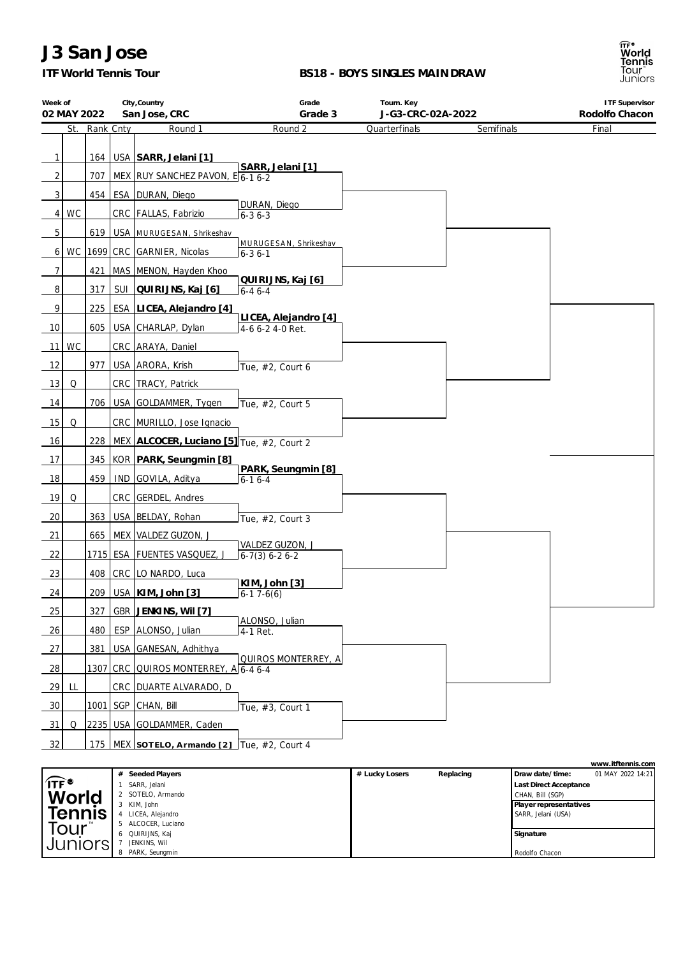### *ITF World Tennis Tour*

#### **BS18 - BOYS SINGLES MAINDRAW**

| Week of<br>02 MAY 2022 |    |               | City, Country<br>San Jose, CRC                    | Grade<br>Grade 3                         | Tourn. Key<br>J-G3-CRC-02A-2022 |            | <b>ITF Supervisor</b><br>Rodolfo Chacon |  |
|------------------------|----|---------------|---------------------------------------------------|------------------------------------------|---------------------------------|------------|-----------------------------------------|--|
|                        |    | St. Rank Cnty | Round 1                                           | Round 2                                  | Quarterfinals                   | Semifinals | Final                                   |  |
| 1                      |    |               | 164   USA   SARR, Jelani [1]                      | SARR, Jelani [1]                         |                                 |            |                                         |  |
| 2                      |    | 707           | MEX RUY SANCHEZ PAVON, E 6-1 6-2                  |                                          |                                 |            |                                         |  |
| $\mathbf{3}$           |    | 454           | ESA   DURAN, Diego                                |                                          |                                 |            |                                         |  |
| 4                      | WC |               | CRC   FALLAS, Fabrizio                            | DURAN, Diego<br>$6 - 36 - 3$             |                                 |            |                                         |  |
| 5                      |    | 619           | USA MURUGESAN, Shrikeshav                         |                                          |                                 |            |                                         |  |
| 6                      |    |               | WC   1699 CRC GARNIER, Nicolas                    | MURUGESAN, Shrikeshav<br>$6 - 36 - 1$    |                                 |            |                                         |  |
| 7                      |    | 421           | MAS MENON, Hayden Khoo                            |                                          |                                 |            |                                         |  |
| 8                      |    | 317           | SUI   QUIRIJNS, Kaj [6]                           | QUIRIJNS, Kaj [6]<br>$6 - 46 - 4$        |                                 |            |                                         |  |
| 9                      |    | 225           | ESA LICEA, Alejandro [4]                          |                                          |                                 |            |                                         |  |
| 10                     |    | 605           | USA CHARLAP, Dylan                                | LICEA, Alejandro [4]<br>4-6 6-2 4-0 Ret. |                                 |            |                                         |  |
| 11                     | WC |               | CRC ARAYA, Daniel                                 |                                          |                                 |            |                                         |  |
| 12                     |    | 977           | USA ARORA, Krish                                  | Tue, #2, Court 6                         |                                 |            |                                         |  |
| 13                     | Q  |               | CRC   TRACY, Patrick                              |                                          |                                 |            |                                         |  |
| 14                     |    | 706           | USA GOLDAMMER, Tygen                              | Tue, #2, Court 5                         |                                 |            |                                         |  |
| 15                     | Q  |               | CRC MURILLO, Jose Ignacio                         |                                          |                                 |            |                                         |  |
| 16                     |    |               | 228   MEX   ALCOCER, Luciano [5] Tue, #2, Court 2 |                                          |                                 |            |                                         |  |
| 17                     |    |               | 345   KOR   PARK, Seungmin [8]                    |                                          |                                 |            |                                         |  |
| 18                     |    | 459           | IND GOVILA, Aditya                                | PARK, Seungmin [8]<br>$6 - 16 - 4$       |                                 |            |                                         |  |
| 19                     | Q  |               | CRC GERDEL, Andres                                |                                          |                                 |            |                                         |  |
| 20                     |    | 363           | USA BELDAY, Rohan                                 | Tue, #2, Court 3                         |                                 |            |                                         |  |
| 21                     |    |               | 665   MEX   VALDEZ GUZON, J                       |                                          |                                 |            |                                         |  |
| 22                     |    |               | 1715   ESA   FUENTES VASQUEZ, J                   | VALDEZ GUZON, J<br>$6-7(3) 6-2 6-2$      |                                 |            |                                         |  |
| 23                     |    |               | 408   CRC   LO NARDO, Luca                        |                                          |                                 |            |                                         |  |
| 24                     |    |               | 209   USA   KIM, John [3]                         | KIM, John [3]<br>$6-17-6(6)$             |                                 |            |                                         |  |
| 25                     |    | 327           | GBR JENKINS, Wil [7]                              |                                          |                                 |            |                                         |  |
| 26                     |    | 480           | ESP ALONSO, Julian                                | ALONSO, Julian<br>$4-1$ Ret.             |                                 |            |                                         |  |
| 27                     |    | 381           | USA GANESAN, Adhithya                             |                                          |                                 |            |                                         |  |
| 28                     |    |               | 1307 CRC QUIROS MONTERREY, A 6-4 6-4              | QUIROS MONTERREY, A                      |                                 |            |                                         |  |
| 29                     | LL |               | CRC DUARTE ALVARADO, D                            |                                          |                                 |            |                                         |  |
| 30                     |    |               | <u>1001 SGP CHAN, Bill</u>                        | Tue, #3, Court 1                         |                                 |            |                                         |  |
| 31                     | Q  |               | 2235   USA GOLDAMMER, Caden                       |                                          |                                 |            |                                         |  |
| 32                     |    |               | 175   MEX SOTELO, Armando [2] Tue, #2, Court 4    |                                          |                                 |            |                                         |  |
|                        |    |               |                                                   |                                          |                                 |            | www.itftennis.com                       |  |

|                                    |                  |                |           |                               | WWW.ILLETTIIIS.COM |
|------------------------------------|------------------|----------------|-----------|-------------------------------|--------------------|
|                                    | Seeded Players   | # Lucky Losers | Replacing | Draw date/time:               | 01 MAY 2022 14:21  |
| $\widehat{\mathsf{IIF}}^{\bullet}$ | SARR, Jelani     |                |           | <b>Last Direct Acceptance</b> |                    |
| World                              | SOTELO, Armando  |                |           | CHAN, Bill (SGP)              |                    |
|                                    | KIM, John        |                |           | Player representatives        |                    |
| <b>Tennis</b>                      | LICEA, Alejandro |                |           | SARR, Jelani (USA)            |                    |
| Tour                               | ALCOCER, Luciano |                |           |                               |                    |
|                                    | QUIRIJNS, Kaj    |                |           | Signature                     |                    |
| Juniors                            | JENKINS. Wil     |                |           |                               |                    |
|                                    | PARK, Seunamin   |                |           | Rodolfo Chacon                |                    |

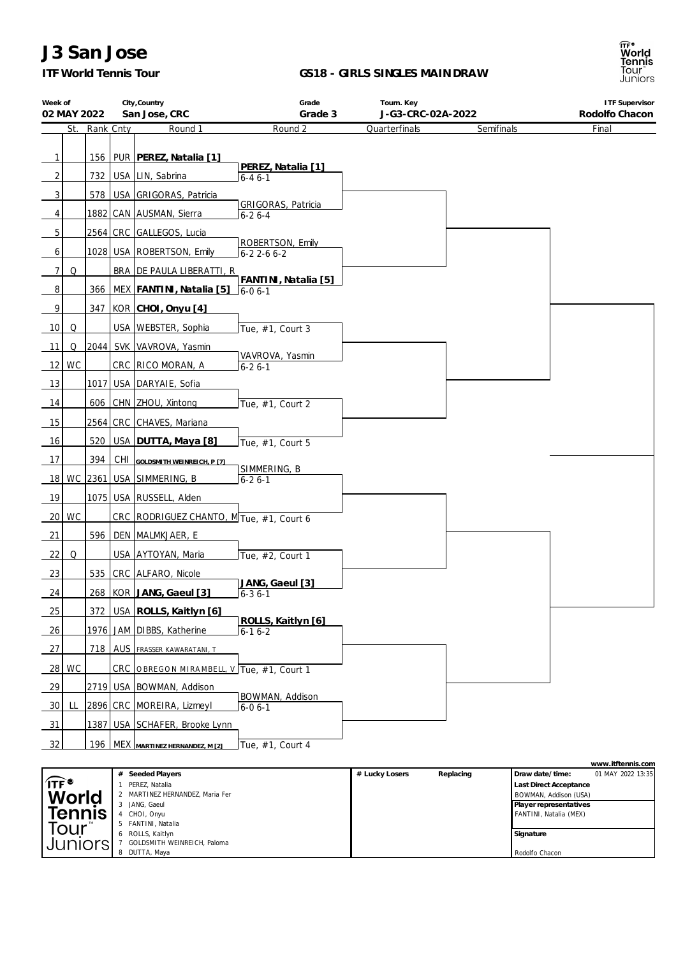### *ITF World Tennis Tour*

#### **GS18 - GIRLS SINGLES MAINDRAW**

| Week of         | 02 MAY 2022 |           | City, Country<br>San Jose, CRC            | Grade<br>Grade 3                          | Tourn. Key<br>J-G3-CRC-02A-2022 |            | <b>ITF Supervisor</b><br>Rodolfo Chacon |
|-----------------|-------------|-----------|-------------------------------------------|-------------------------------------------|---------------------------------|------------|-----------------------------------------|
|                 | St.         | Rank Cnty | Round 1                                   | Round 2                                   | Quarterfinals                   | Semifinals | Final                                   |
|                 |             |           |                                           |                                           |                                 |            |                                         |
| $\mathbf{1}$    |             |           | 156   PUR   PEREZ, Natalia [1]            |                                           |                                 |            |                                         |
| $\overline{2}$  |             |           | 732   USA   LIN, Sabrina                  | PEREZ, Natalia [1]<br>$6 - 46 - 1$        |                                 |            |                                         |
| 3               |             |           | 578   USA GRIGORAS, Patricia              |                                           |                                 |            |                                         |
| 4               |             |           | 1882 CAN AUSMAN, Sierra                   | <b>GRIGORAS, Patricia</b><br>$6 - 26 - 4$ |                                 |            |                                         |
| 5               |             |           | 2564 CRC GALLEGOS, Lucia                  |                                           |                                 |            |                                         |
| 6               |             |           | 1028   USA   ROBERTSON, Emily             | ROBERTSON, Emily<br>$6 - 22 - 66 - 2$     |                                 |            |                                         |
| 7 <sup>1</sup>  | Q           |           | BRA DE PAULA LIBERATTI, R                 |                                           |                                 |            |                                         |
| $\overline{8}$  |             |           | 366   MEX   FANTINI, Natalia [5]          | FANTINI, Natalia [5]<br>$16 - 06 - 1$     |                                 |            |                                         |
| 9               |             | 347       | $KOR$ CHOI, Onyu $[4]$                    |                                           |                                 |            |                                         |
| 10 <sup>1</sup> | Q           |           | USA   WEBSTER, Sophia                     | Tue, #1, Court 3                          |                                 |            |                                         |
| 11              | Q           |           | 2044 SVK VAVROVA, Yasmin                  |                                           |                                 |            |                                         |
|                 | $12$ WC     |           | CRC RICO MORAN, A                         | VAVROVA, Yasmin<br>$6 - 26 - 1$           |                                 |            |                                         |
| 13              |             |           | 1017 USA DARYAIE, Sofia                   |                                           |                                 |            |                                         |
| 14              |             |           | 606 CHN ZHOU, Xintong                     | Tue, #1, Court 2                          |                                 |            |                                         |
| 15              |             |           | 2564 CRC CHAVES, Mariana                  |                                           |                                 |            |                                         |
| 16              |             | 520       | USA DUTTA, Maya [8]                       | Tue, #1, Court 5                          |                                 |            |                                         |
| 17              |             | 394       | CHI GOLDSMITH WEINREICH, P [7]            |                                           |                                 |            |                                         |
|                 |             |           | 18 WC 2361 USA SIMMERING, B               | SIMMERING, B<br>$6 - 26 - 1$              |                                 |            |                                         |
| 19              |             |           | 1075 USA RUSSELL, Alden                   |                                           |                                 |            |                                         |
| 20 <sub>l</sub> | WC          |           | CRC RODRIGUEZ CHANTO, M Tue, #1, Court 6  |                                           |                                 |            |                                         |
| 21              |             |           | 596   DEN   MALMKJAER, E                  |                                           |                                 |            |                                         |
| 22              | Q           |           | USA AYTOYAN, Maria                        | Tue, #2, Court 1                          |                                 |            |                                         |
| 23              |             |           | 535   CRC   ALFARO, Nicole                |                                           |                                 |            |                                         |
| 24              |             |           | 268   KOR   JANG, Gaeul [3]               | JANG, Gaeul [3]<br>$6 - 36 - 1$           |                                 |            |                                         |
| 25              |             |           | 372 USA ROLLS, Kaitlyn [6]                |                                           |                                 |            |                                         |
| <u>26</u>       |             |           | 1976 JAM DIBBS, Katherine                 | ROLLS, Kaitlyn [6]<br>$6-16-2$            |                                 |            |                                         |
| 27              |             |           | 718 AUS FRASSER KAWARATANI, T             |                                           |                                 |            |                                         |
| 28              | <b>WC</b>   |           | CRC OBREGON MIRAMBELL, V Tue, #1, Court 1 |                                           |                                 |            |                                         |
| 29              |             |           | 2719 USA   BOWMAN, Addison                |                                           |                                 |            |                                         |
| 30              | LL.         |           | 2896 CRC MOREIRA, Lizmeyl                 | BOWMAN, Addison<br>$6 - 06 - 1$           |                                 |            |                                         |
| $\frac{31}{2}$  |             |           | 1387 USA SCHAFER, Brooke Lynn             |                                           |                                 |            |                                         |
| 32              |             |           | 196 MEX MARTINEZ HERNANDEZ. M [2]         | Tue, #1, Court 4                          |                                 |            |                                         |

|                                  |                               |                |           |                               | www.itftennis.com |
|----------------------------------|-------------------------------|----------------|-----------|-------------------------------|-------------------|
|                                  | Seeded Players                | # Lucky Losers | Replacing | Draw date/time:               | 01 MAY 2022 13:35 |
| $\widehat{\mathsf{ITF}}^\bullet$ | PEREZ, Natalia                |                |           | <b>Last Direct Acceptance</b> |                   |
| <b>World</b>                     | MARTINEZ HERNANDEZ, Maria Fer |                |           | BOWMAN, Addison (USA)         |                   |
|                                  | JANG, Gaeul                   |                |           | Player representatives        |                   |
| <b>Tennis</b>                    | CHOI, Onyu                    |                |           | FANTINI, Natalia (MEX)        |                   |
| Tour                             | FANTINI, Natalia              |                |           |                               |                   |
|                                  | ROLLS, Kaitlyn                |                |           | Signature                     |                   |
| Juniors                          | GOLDSMITH WEINREICH, Paloma   |                |           |                               |                   |
|                                  | DUTTA, Maya                   |                |           | Rodolfo Chacon                |                   |

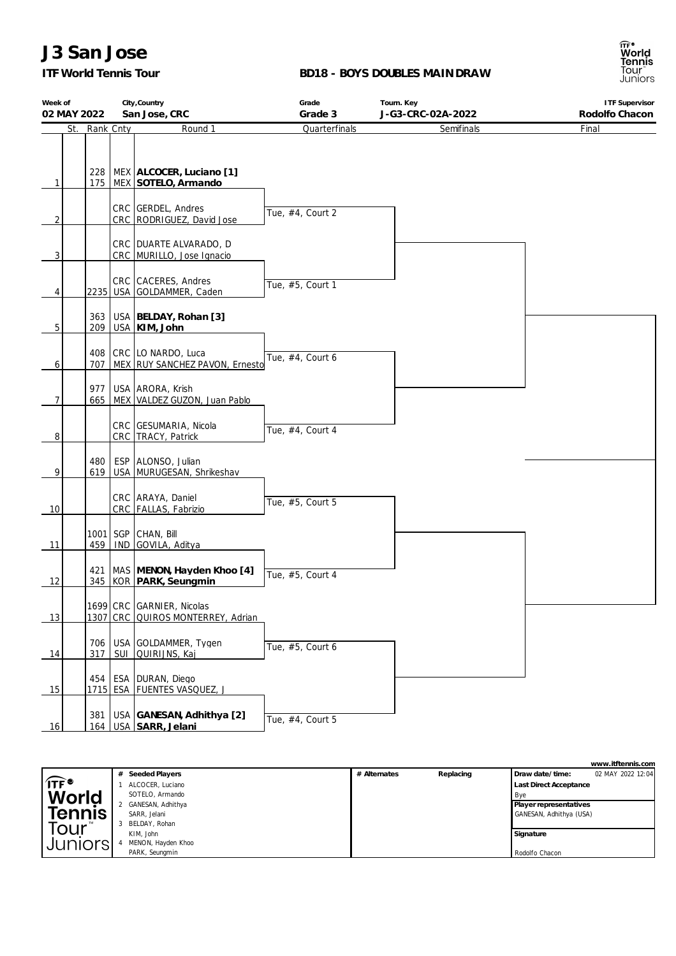### *ITF World Tennis Tour*

#### **BD18 - BOYS DOUBLES MAINDRAW**

| Week of<br>02 MAY 2022 | City, Country<br>San Jose, CRC |     |                                                                  | Grade<br>Grade 3 | Tourn. Key<br>J-G3-CRC-02A-2022 | <b>ITF Supervisor</b><br>Rodolfo Chacon |
|------------------------|--------------------------------|-----|------------------------------------------------------------------|------------------|---------------------------------|-----------------------------------------|
| St.                    | Rank Cnty                      |     | Round 1                                                          | Quarterfinals    | Semifinals                      | Final                                   |
| 1                      |                                |     | 228   MEX ALCOCER, Luciano [1]<br>175   MEX SOTELO, Armando      |                  |                                 |                                         |
| 2                      |                                |     | CRC GERDEL, Andres<br>CRC RODRIGUEZ, David Jose                  | Tue, #4, Court 2 |                                 |                                         |
| 3                      |                                |     | CRC   DUARTE ALVARADO, D<br>CRC MURILLO, Jose Ignacio            |                  |                                 |                                         |
| 4                      |                                |     | CRC CACERES, Andres<br>2235 USA GOLDAMMER, Caden                 | Tue, #5, Court 1 |                                 |                                         |
| 5                      | 363<br>209                     |     | USA   BELDAY, Rohan [3]<br>USA KIM, John                         |                  |                                 |                                         |
| 6                      | 707                            |     | 408   CRC LO NARDO, Luca<br>MEX RUY SANCHEZ PAVON, Ernesto       | Tue, #4, Court 6 |                                 |                                         |
| $\overline{7}$         | 977<br>665                     |     | USA ARORA, Krish<br>MEX VALDEZ GUZON, Juan Pablo                 |                  |                                 |                                         |
| 8                      |                                |     | CRC GESUMARIA, Nicola<br>CRC   TRACY, Patrick                    | Tue, #4, Court 4 |                                 |                                         |
| 9                      | 480<br>619                     |     | ESP ALONSO, Julian<br>USA MURUGESAN, Shrikeshav                  |                  |                                 |                                         |
| 10                     |                                |     | CRC ARAYA, Daniel<br>CRC   FALLAS, Fabrizio                      | Tue, #5, Court 5 |                                 |                                         |
| 11                     | 459                            |     | 1001   SGP   CHAN, Bill<br>IND GOVILA, Aditya                    |                  |                                 |                                         |
| 12                     |                                |     | 421   MAS   MENON, Hayden Khoo [4]<br>345   KOR   PARK, Seungmin | Tue, #5, Court 4 |                                 |                                         |
| 13                     |                                |     | 1699 CRC GARNIER, Nicolas<br>1307 CRC QUIROS MONTERREY, Adrian   |                  |                                 |                                         |
| 14                     | 317                            | SUI | 706   USA GOLDAMMER, Tygen<br>QUIRIJNS, Kaj                      | Tue, #5, Court 6 |                                 |                                         |
| 15                     |                                |     | 454   ESA   DURAN, Diego<br>1715 ESA FUENTES VASQUEZ, J          |                  |                                 |                                         |
| 16                     | 381                            |     | USA GANESAN, Adhithya [2]<br>164   USA SARR, Jelani              | Tue, #4, Court 5 |                                 |                                         |